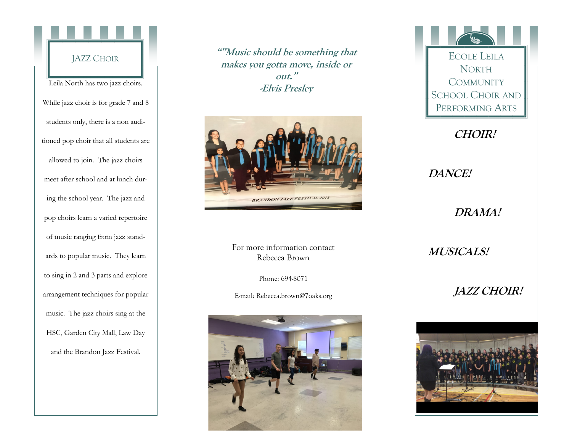

**""Music should be something that makes you gotta move, inside or out." -Elvis Presley**



For more information contact Rebecca Brown

Phone: 694-8071

E-mail: Rebecca.brown@7oaks.org